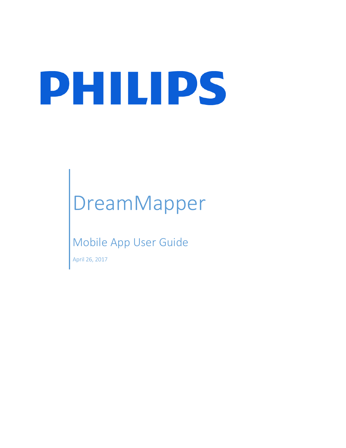# PHILIPS

# DreamMapper

### Mobile App User Guide

April 26, 2017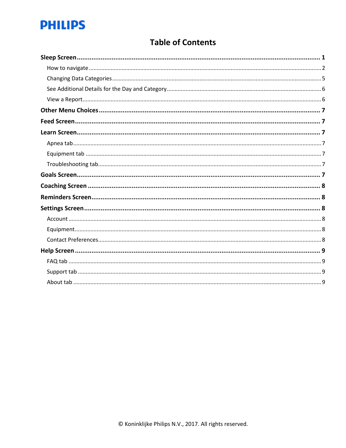## **PHILIPS**

#### **Table of Contents**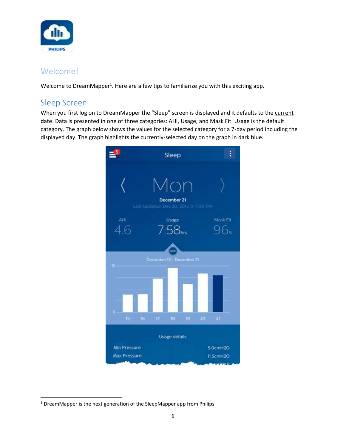

#### Welcome!

Welcome to DreamMapper<sup>1</sup>. Here are a few tips to familiarize you with this exciting app.

#### <span id="page-2-0"></span>Sleep Screen

 $\overline{\phantom{a}}$ 

When you first log on to DreamMapper the "Sleep" screen is displayed and it defaults to the current date. Data is presented in one of three categories: AHI, Usage, and Mask Fit. Usage is the default category. The graph below shows the values for the selected category for a 7-day period including the displayed day. The graph highlights the currently-selected day on the graph in dark blue.



<sup>&</sup>lt;sup>1</sup> DreamMapper is the next generation of the SleepMapper app from Philips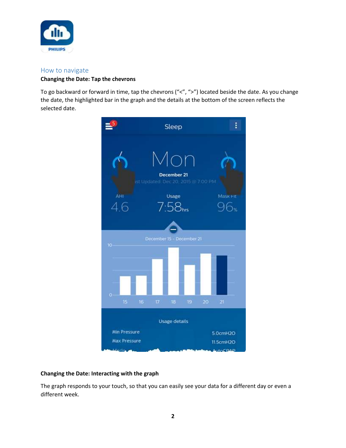

#### <span id="page-3-0"></span>How to navigate

#### **Changing the Date: Tap the chevrons**

To go backward or forward in time, tap the chevrons ("<", ">") located beside the date. As you change the date, the highlighted bar in the graph and the details at the bottom of the screen reflects the selected date.



#### **Changing the Date: Interacting with the graph**

The graph responds to your touch, so that you can easily see your data for a different day or even a different week.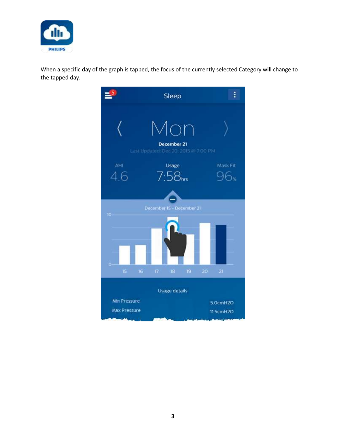

When a specific day of the graph is tapped, the focus of the currently selected Category will change to the tapped day.

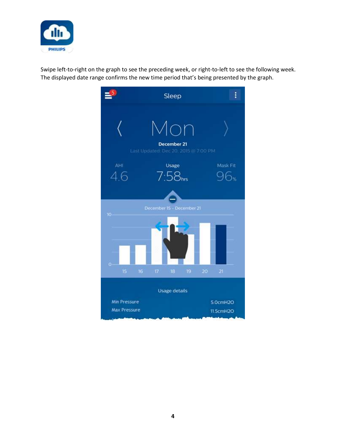

Swipe left-to-right on the graph to see the preceding week, or right-to-left to see the following week. The displayed date range confirms the new time period that's being presented by the graph.

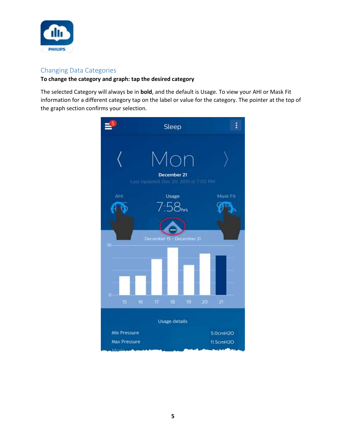

#### <span id="page-6-0"></span>Changing Data Categories

#### **To change the category and graph: tap the desired category**

The selected Category will always be in **bold**, and the default is Usage. To view your AHI or Mask Fit information for a different category tap on the label or value for the category. The pointer at the top of the graph section confirms your selection.

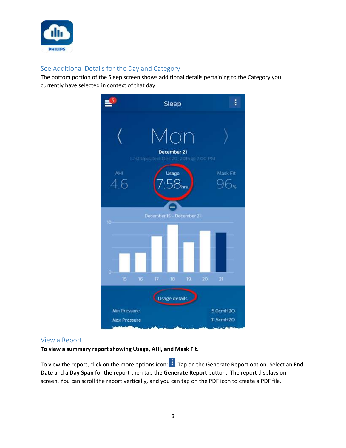

#### <span id="page-7-0"></span>See Additional Details for the Day and Category

The bottom portion of the Sleep screen shows additional details pertaining to the Category you currently have selected in context of that day.



#### <span id="page-7-1"></span>View a Report

**To view a summary report showing Usage, AHI, and Mask Fit.**

To view the report, click on the more options icon: . Tap on the Generate Report option. Select an **End Date** and a **Day Span** for the report then tap the **Generate Report** button. The report displays onscreen. You can scroll the report vertically, and you can tap on the PDF icon to create a PDF file.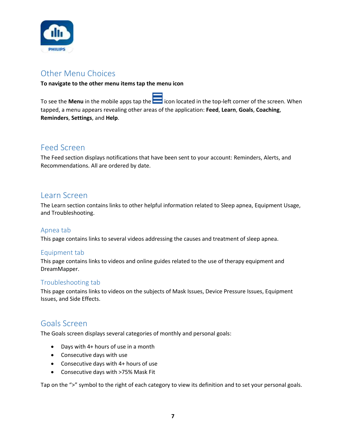

#### <span id="page-8-0"></span>Other Menu Choices

#### **To navigate to the other menu items tap the menu icon**

To see the **Menu** in the mobile apps tap the incon located in the top-left corner of the screen. When tapped, a menu appears revealing other areas of the application: **Feed**, **Learn**, **Goals**, **Coaching**, **Reminders**, **Settings**, and **Help**.

#### <span id="page-8-1"></span>Feed Screen

The Feed section displays notifications that have been sent to your account: Reminders, Alerts, and Recommendations. All are ordered by date.

#### <span id="page-8-2"></span>Learn Screen

The Learn section contains links to other helpful information related to Sleep apnea, Equipment Usage, and Troubleshooting.

#### <span id="page-8-3"></span>Apnea tab

This page contains links to several videos addressing the causes and treatment of sleep apnea.

#### <span id="page-8-4"></span>Equipment tab

This page contains links to videos and online guides related to the use of therapy equipment and DreamMapper.

#### <span id="page-8-5"></span>Troubleshooting tab

This page contains links to videos on the subjects of Mask Issues, Device Pressure Issues, Equipment Issues, and Side Effects.

#### <span id="page-8-6"></span>Goals Screen

The Goals screen displays several categories of monthly and personal goals:

- Days with 4+ hours of use in a month
- Consecutive days with use
- Consecutive days with 4+ hours of use
- Consecutive days with >75% Mask Fit

Tap on the ">" symbol to the right of each category to view its definition and to set your personal goals.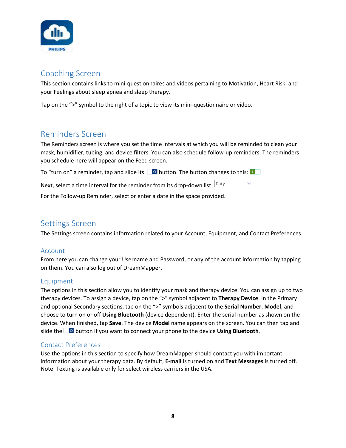

#### <span id="page-9-0"></span>Coaching Screen

This section contains links to mini-questionnaires and videos pertaining to Motivation, Heart Risk, and your Feelings about sleep apnea and sleep therapy.

Tap on the ">" symbol to the right of a topic to view its mini-questionnaire or video.

#### <span id="page-9-1"></span>Reminders Screen

The Reminders screen is where you set the time intervals at which you will be reminded to clean your mask, humidifier, tubing, and device filters. You can also schedule follow-up reminders. The reminders you schedule here will appear on the Feed screen.

|  | To "turn on" a reminder, tap and slide its $\Box$ button. The button changes to this: $\Box$ |  |  |
|--|----------------------------------------------------------------------------------------------|--|--|
|  |                                                                                              |  |  |

Next, select a time interval for the reminder from its drop-down list:  $\boxed{\text{Daily}}$  $\vee$ 

For the Follow-up Reminder, select or enter a date in the space provided.

#### <span id="page-9-2"></span>Settings Screen

The Settings screen contains information related to your Account, Equipment, and Contact Preferences.

#### <span id="page-9-3"></span>Account

From here you can change your Username and Password, or any of the account information by tapping on them. You can also log out of DreamMapper.

#### <span id="page-9-4"></span>Equipment

The options in this section allow you to identify your mask and therapy device. You can assign up to two therapy devices. To assign a device, tap on the ">" symbol adjacent to **Therapy Device**. In the Primary and optional Secondary sections, tap on the ">" symbols adjacent to the **Serial Number**, **Model**, and choose to turn on or off **Using Bluetooth** (device dependent). Enter the serial number as shown on the device. When finished, tap **Save**. The device **Model** name appears on the screen. You can then tap and slide the **button if you want to connect your phone to the device Using Bluetooth.** 

#### <span id="page-9-5"></span>Contact Preferences

Use the options in this section to specify how DreamMapper should contact you with important information about your therapy data. By default, **E-mail** is turned on and **Text Messages** is turned off. Note: Texting is available only for select wireless carriers in the USA.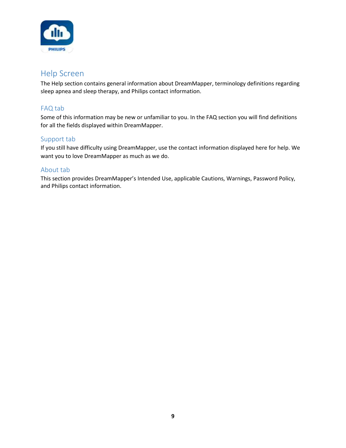

#### <span id="page-10-0"></span>Help Screen

The Help section contains general information about DreamMapper, terminology definitions regarding sleep apnea and sleep therapy, and Philips contact information.

#### <span id="page-10-1"></span>FAQ tab

Some of this information may be new or unfamiliar to you. In the FAQ section you will find definitions for all the fields displayed within DreamMapper.

#### <span id="page-10-2"></span>Support tab

If you still have difficulty using DreamMapper, use the contact information displayed here for help. We want you to love DreamMapper as much as we do.

#### <span id="page-10-3"></span>About tab

This section provides DreamMapper's Intended Use, applicable Cautions, Warnings, Password Policy, and Philips contact information.